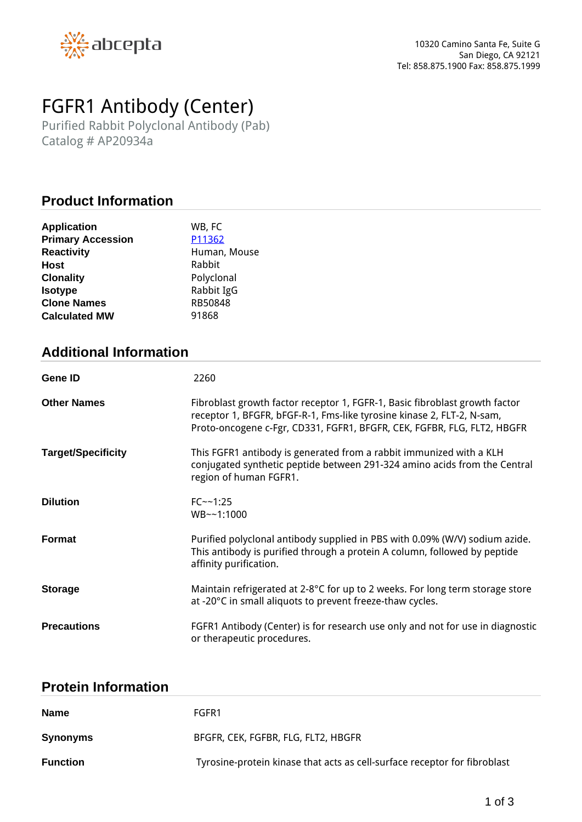

# *FGFR1 Antibody (Center)*

*Purified Rabbit Polyclonal Antibody (Pab) Catalog # AP20934a*

# **Product Information**

| <b>Application</b>       | WB, FC       |
|--------------------------|--------------|
| <b>Primary Accession</b> | P11362       |
| <b>Reactivity</b>        | Human, Mouse |
| <b>Host</b>              | Rabbit       |
| <b>Clonality</b>         | Polyclonal   |
| <b>Isotype</b>           | Rabbit IgG   |
| <b>Clone Names</b>       | RB50848      |
| <b>Calculated MW</b>     | 91868        |

# **Additional Information**

| <b>Gene ID</b>            | 2260                                                                                                                                                                                                                             |
|---------------------------|----------------------------------------------------------------------------------------------------------------------------------------------------------------------------------------------------------------------------------|
| <b>Other Names</b>        | Fibroblast growth factor receptor 1, FGFR-1, Basic fibroblast growth factor<br>receptor 1, BFGFR, bFGF-R-1, Fms-like tyrosine kinase 2, FLT-2, N-sam,<br>Proto-oncogene c-Fgr, CD331, FGFR1, BFGFR, CEK, FGFBR, FLG, FLT2, HBGFR |
| <b>Target/Specificity</b> | This FGFR1 antibody is generated from a rabbit immunized with a KLH<br>conjugated synthetic peptide between 291-324 amino acids from the Central<br>region of human FGFR1.                                                       |
| <b>Dilution</b>           | $FC - 1:25$<br>WB~~1:1000                                                                                                                                                                                                        |
| Format                    | Purified polyclonal antibody supplied in PBS with 0.09% (W/V) sodium azide.<br>This antibody is purified through a protein A column, followed by peptide<br>affinity purification.                                               |
| <b>Storage</b>            | Maintain refrigerated at 2-8°C for up to 2 weeks. For long term storage store<br>at -20°C in small aliquots to prevent freeze-thaw cycles.                                                                                       |
| <b>Precautions</b>        | FGFR1 Antibody (Center) is for research use only and not for use in diagnostic<br>or therapeutic procedures.                                                                                                                     |

### **Protein Information**

| <b>Name</b>     | FGFR1                                                                     |
|-----------------|---------------------------------------------------------------------------|
| <b>Synonyms</b> | BFGFR, CEK, FGFBR, FLG, FLT2, HBGFR                                       |
| <b>Function</b> | Tyrosine-protein kinase that acts as cell-surface receptor for fibroblast |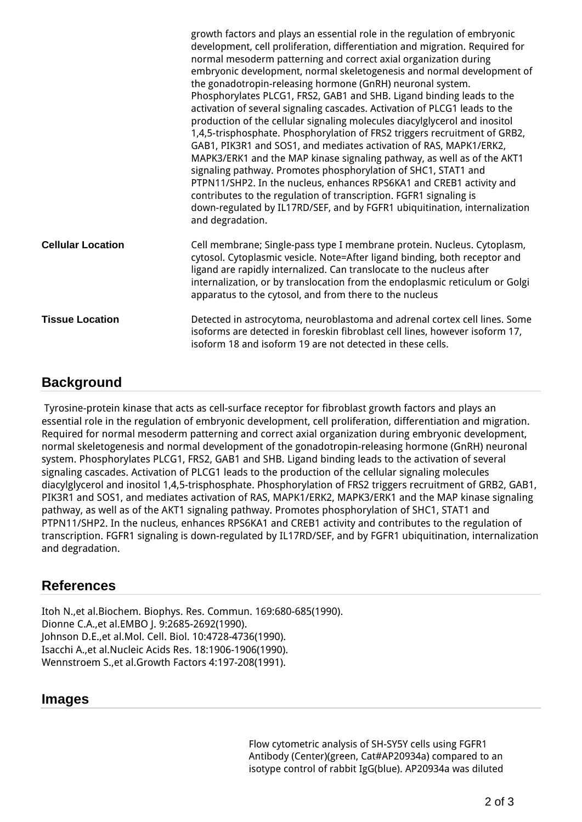|                          | growth factors and plays an essential role in the regulation of embryonic<br>development, cell proliferation, differentiation and migration. Required for<br>normal mesoderm patterning and correct axial organization during<br>embryonic development, normal skeletogenesis and normal development of<br>the gonadotropin-releasing hormone (GnRH) neuronal system.<br>Phosphorylates PLCG1, FRS2, GAB1 and SHB. Ligand binding leads to the<br>activation of several signaling cascades. Activation of PLCG1 leads to the<br>production of the cellular signaling molecules diacylglycerol and inositol<br>1,4,5-trisphosphate. Phosphorylation of FRS2 triggers recruitment of GRB2,<br>GAB1, PIK3R1 and SOS1, and mediates activation of RAS, MAPK1/ERK2,<br>MAPK3/ERK1 and the MAP kinase signaling pathway, as well as of the AKT1<br>signaling pathway. Promotes phosphorylation of SHC1, STAT1 and<br>PTPN11/SHP2. In the nucleus, enhances RPS6KA1 and CREB1 activity and<br>contributes to the regulation of transcription. FGFR1 signaling is<br>down-regulated by IL17RD/SEF, and by FGFR1 ubiquitination, internalization<br>and degradation. |
|--------------------------|-------------------------------------------------------------------------------------------------------------------------------------------------------------------------------------------------------------------------------------------------------------------------------------------------------------------------------------------------------------------------------------------------------------------------------------------------------------------------------------------------------------------------------------------------------------------------------------------------------------------------------------------------------------------------------------------------------------------------------------------------------------------------------------------------------------------------------------------------------------------------------------------------------------------------------------------------------------------------------------------------------------------------------------------------------------------------------------------------------------------------------------------------------------|
| <b>Cellular Location</b> | Cell membrane; Single-pass type I membrane protein. Nucleus. Cytoplasm,<br>cytosol. Cytoplasmic vesicle. Note=After ligand binding, both receptor and<br>ligand are rapidly internalized. Can translocate to the nucleus after<br>internalization, or by translocation from the endoplasmic reticulum or Golgi<br>apparatus to the cytosol, and from there to the nucleus                                                                                                                                                                                                                                                                                                                                                                                                                                                                                                                                                                                                                                                                                                                                                                                   |
| <b>Tissue Location</b>   | Detected in astrocytoma, neuroblastoma and adrenal cortex cell lines. Some<br>isoforms are detected in foreskin fibroblast cell lines, however isoform 17,<br>isoform 18 and isoform 19 are not detected in these cells.                                                                                                                                                                                                                                                                                                                                                                                                                                                                                                                                                                                                                                                                                                                                                                                                                                                                                                                                    |

## **Background**

 *Tyrosine-protein kinase that acts as cell-surface receptor for fibroblast growth factors and plays an essential role in the regulation of embryonic development, cell proliferation, differentiation and migration. Required for normal mesoderm patterning and correct axial organization during embryonic development, normal skeletogenesis and normal development of the gonadotropin-releasing hormone (GnRH) neuronal system. Phosphorylates PLCG1, FRS2, GAB1 and SHB. Ligand binding leads to the activation of several signaling cascades. Activation of PLCG1 leads to the production of the cellular signaling molecules diacylglycerol and inositol 1,4,5-trisphosphate. Phosphorylation of FRS2 triggers recruitment of GRB2, GAB1, PIK3R1 and SOS1, and mediates activation of RAS, MAPK1/ERK2, MAPK3/ERK1 and the MAP kinase signaling pathway, as well as of the AKT1 signaling pathway. Promotes phosphorylation of SHC1, STAT1 and PTPN11/SHP2. In the nucleus, enhances RPS6KA1 and CREB1 activity and contributes to the regulation of transcription. FGFR1 signaling is down-regulated by IL17RD/SEF, and by FGFR1 ubiquitination, internalization and degradation.*

## **References**

*Itoh N.,et al.Biochem. Biophys. Res. Commun. 169:680-685(1990). Dionne C.A.,et al.EMBO J. 9:2685-2692(1990). Johnson D.E.,et al.Mol. Cell. Biol. 10:4728-4736(1990). Isacchi A.,et al.Nucleic Acids Res. 18:1906-1906(1990). Wennstroem S.,et al.Growth Factors 4:197-208(1991).*

#### **Images**

*Flow cytometric analysis of SH-SY5Y cells using FGFR1 Antibody (Center)(green, Cat#AP20934a) compared to an isotype control of rabbit IgG(blue). AP20934a was diluted*